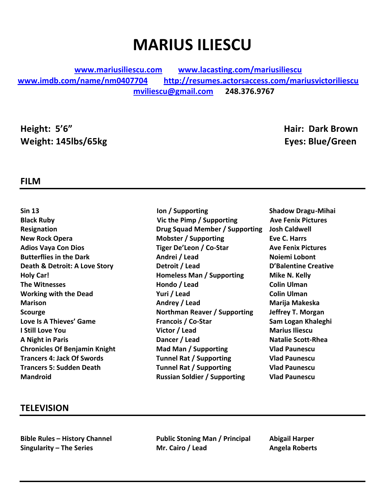# **MARIUS ILIESCU**

**www.mariusiliescu.com www.lacasting.com/mariusiliescu www.imdb.com/name/nm0407704 http://resumes.actorsaccess.com/mariusvictoriliescu mviliescu@gmail.com 248.376.9767** 

**Height: 5'6" Hair: Dark Brown Weight: 145lbs/65kg Eyes: Blue/Green**

#### **FILM**

**Mandroid Contrary <b>Russian** Soldier / Supporting **and Paunescu** 

- **Sin 13 Ion / Supporting Shadow Dragu-Mihai Black Ruby Vic the Pimp / Supporting Ave Fenix Pictures Resignation Drug Squad Member / Supporting Josh Caldwell New Rock Opera Compared Eve C. Harrs Mobster** / Supporting **Eve C. Harrs Adios Vaya Con Dios Tiger De'Leon / Co-Star Ave Fenix Pictures Butterflies in the Dark** *Andrei Andrei* / Lead *Noiemi Lobont* **Death & Detroit: A Love Story <b>Detroit** / Lead **D'Balentine Creative Holy Car! Homeless Man / Supporting Mike N. Kelly The Witnesses The Witnesses Colin Ulman Working with the Dead** *Music Colin Ulman Yuri / Lead* **<b>***Colin Ulman* **Marison Andrey / Lead Marija Makeska Scourge 1988 1988 1989 Northman Reaver / Supporting beffrey T. Morgan Love Is A Thieves' Game** *Francois* **/ Co-Star** *Coneral Sam Logan Khaleghi* **I** Still Love You **About A Victor** / Lead *Marius Iliescu* **A Night in Paris Dancer / Lead Natalie Scott-Rhea Chronicles Of Benjamin Knight Mad Man / Supporting Vlad Paunescu Trancers 4: Jack Of Swords Tunnel Rat / Supporting Vlad Paunescu Trancers 5: Sudden Death Tunnel Rat / Supporting Wad Paunescu** 
	-

#### **TELEVISION**

**Bible Rules – History Channel <b>Public Stoning Man** / Principal Abigail Harper **Singularity** – The Series **Mr. Cairo** / Lead **Angela Roberts**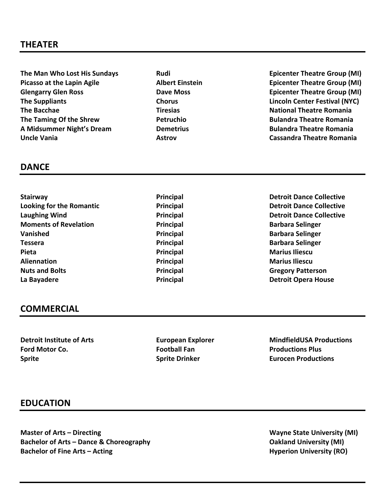The Man Who Lost His Sundays *Rudi* **Rudi** *Rudi Epicenter Theatre Group (MI)* **Picasso at the Lapin Agile Albert Einstein Company Epicenter Theatre Group (MI) Properties** Glengarry Glen Ross **Dave Moss Dave Moss Clengarry Glen Ross Clengarry Glen Ross Clengarry Glen Ross Clengarry Glen Ross Clengarry Glen Ross Clengarry Glen Ross Clengarry Glen Ross Clengarry Glen Blend Ro** The Suppliants **Chorus Chorus Chorus Lincoln Center Festival (NYC) The Bacchae Tiresias National Theatre Romania The Taming Of the Shrew <b>Petruchio Contract Contract Contract Contract Contract Contract Contract Petruchio A** Midsummer Night's Dream *Demetrius* **Bulandra Theatre Romania Uncle Vania Astrov Cassandra Theatre Romania** *Contracte Communism* 

### **DANCE**

- **Stairway Principal Principal Detroit Dance Collective Looking for the Romantic Principal Principal Detroit Dance Collective Laughing Wind Principal Principal Principal Detroit Dance Collective Moments of Revelation Barbara Principal Barbara** Selinger **Vanished Principal Barbara** Selinger **Tessera Principal Barbara** Selinger **Barbara** Selinger **Pieta Principal Marius Iliescu Aliennation Principal Marius Iliescu Nuts and Bolts Contract Contract Contract Principal Gregory Patters Principal Gregory Patters Principal** La Bayadere **Detroit Opera House Principal Principal Detroit Opera House** 
	-

## **COMMERCIAL**

**Ford Motor Co. Football Fan Productions Plus Sprite Sprite Sprite Constanting Sprite Constanting Sprite Eurocen** Productions

**Detroit Institute of Arts European Explorer MindfieldUSA Productions** 

#### **EDUCATION**

**Master of Arts – Directing and State University (MI) Wayne State University (MI) Bachelor of Arts – Dance & Choreography <b>Cancel Arts Oakland University** (MI) **Bachelor of Fine Arts – Acting <b>Hyperion** University (RO)